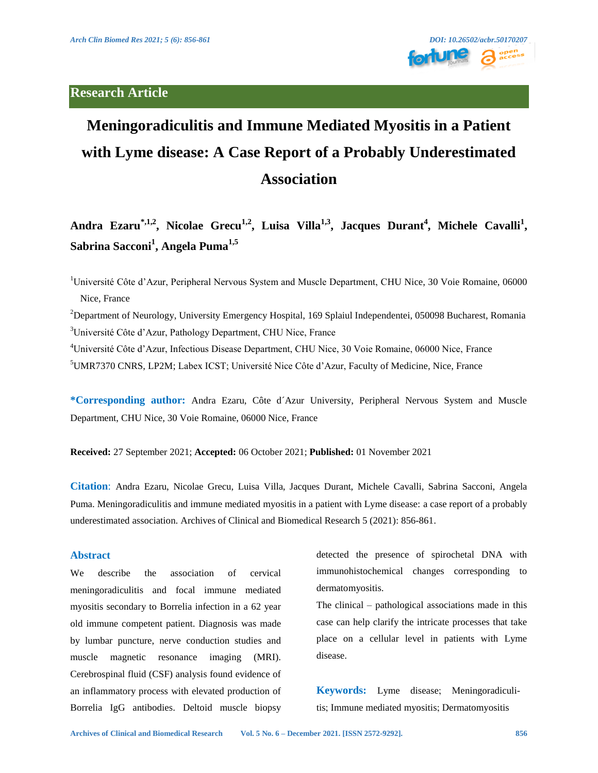## **Research Article**



# **Meningoradiculitis and Immune Mediated Myositis in a Patient with Lyme disease: A Case Report of a Probably Underestimated Association**

Andra Ezaru<sup>\*,1,2</sup>, Nicolae Grecu<sup>1,2</sup>, Luisa Villa<sup>1,3</sup>, Jacques Durant<sup>4</sup>, Michele Cavalli<sup>1</sup>, **Sabrina Sacconi1 , Angela Puma1,5**

<sup>1</sup>Université Côte d'Azur, Peripheral Nervous System and Muscle Department, CHU Nice, 30 Voie Romaine, 06000 Nice, France

<sup>2</sup>Department of Neurology, University Emergency Hospital, 169 Splaiul Independentei, 050098 Bucharest, Romania <sup>3</sup>Université Côte d'Azur, Pathology Department, CHU Nice, France

4 Université Côte d'Azur, Infectious Disease Department, CHU Nice, 30 Voie Romaine, 06000 Nice, France 5 UMR7370 CNRS, LP2M; Labex ICST; Université Nice Côte d'Azur, Faculty of Medicine, Nice, France

**\*Corresponding author:** Andra Ezaru, Côte d´Azur University, Peripheral Nervous System and Muscle Department, CHU Nice, 30 Voie Romaine, 06000 Nice, France

**Received:** 27 September 2021; **Accepted:** 06 October 2021; **Published:** 01 November 2021

**Citation**: Andra Ezaru, Nicolae Grecu, Luisa Villa, Jacques Durant, Michele Cavalli, Sabrina Sacconi, Angela Puma. Meningoradiculitis and immune mediated myositis in a patient with Lyme disease: a case report of a probably underestimated association. Archives of Clinical and Biomedical Research 5 (2021): 856-861.

#### **Abstract**

We describe the association of cervical meningoradiculitis and focal immune mediated myositis secondary to Borrelia infection in a 62 year old immune competent patient. Diagnosis was made by lumbar puncture, nerve conduction studies and muscle magnetic resonance imaging (MRI). Cerebrospinal fluid (CSF) analysis found evidence of an inflammatory process with elevated production of Borrelia IgG antibodies. Deltoid muscle biopsy detected the presence of spirochetal DNA with immunohistochemical changes corresponding to dermatomyositis.

The clinical – pathological associations made in this case can help clarify the intricate processes that take place on a cellular level in patients with Lyme disease.

**Keywords:** Lyme disease; Meningoradiculitis; Immune mediated myositis; Dermatomyositis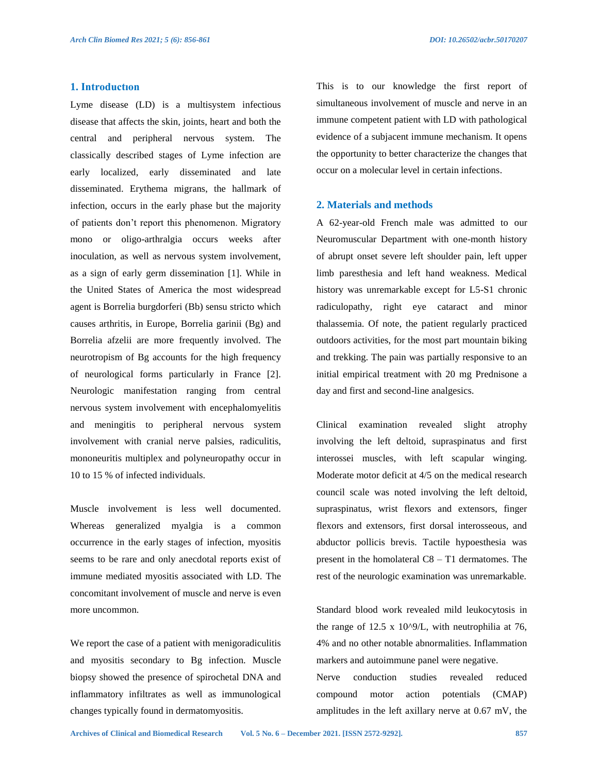### **1. Introductıon**

Lyme disease (LD) is a multisystem infectious disease that affects the skin, joints, heart and both the central and peripheral nervous system. The classically described stages of Lyme infection are early localized, early disseminated and late disseminated. Erythema migrans, the hallmark of infection, occurs in the early phase but the majority of patients don't report this phenomenon. Migratory mono or oligo-arthralgia occurs weeks after inoculation, as well as nervous system involvement, as a sign of early germ dissemination [1]. While in the United States of America the most widespread agent is Borrelia burgdorferi (Bb) sensu stricto which causes arthritis, in Europe, Borrelia garinii (Bg) and Borrelia afzelii are more frequently involved. The neurotropism of Bg accounts for the high frequency of neurological forms particularly in France [2]. Neurologic manifestation ranging from central nervous system involvement with encephalomyelitis and meningitis to peripheral nervous system involvement with cranial nerve palsies, radiculitis, mononeuritis multiplex and polyneuropathy occur in 10 to 15 % of infected individuals.

Muscle involvement is less well documented. Whereas generalized myalgia is a common occurrence in the early stages of infection, myositis seems to be rare and only anecdotal reports exist of immune mediated myositis associated with LD. The concomitant involvement of muscle and nerve is even more uncommon.

We report the case of a patient with menigoradiculitis and myositis secondary to Bg infection. Muscle biopsy showed the presence of spirochetal DNA and inflammatory infiltrates as well as immunological changes typically found in dermatomyositis.

This is to our knowledge the first report of simultaneous involvement of muscle and nerve in an immune competent patient with LD with pathological evidence of a subjacent immune mechanism. It opens the opportunity to better characterize the changes that occur on a molecular level in certain infections.

#### **2. Materials and methods**

A 62-year-old French male was admitted to our Neuromuscular Department with one-month history of abrupt onset severe left shoulder pain, left upper limb paresthesia and left hand weakness. Medical history was unremarkable except for L5-S1 chronic radiculopathy, right eye cataract and minor thalassemia. Of note, the patient regularly practiced outdoors activities, for the most part mountain biking and trekking. The pain was partially responsive to an initial empirical treatment with 20 mg Prednisone a day and first and second-line analgesics.

Clinical examination revealed slight atrophy involving the left deltoid, supraspinatus and first interossei muscles, with left scapular winging. Moderate motor deficit at 4/5 on the medical research council scale was noted involving the left deltoid, supraspinatus, wrist flexors and extensors, finger flexors and extensors, first dorsal interosseous, and abductor pollicis brevis. Tactile hypoesthesia was present in the homolateral C8 – T1 dermatomes. The rest of the neurologic examination was unremarkable.

Standard blood work revealed mild leukocytosis in the range of 12.5 x 10 $^{\circ}$ 9/L, with neutrophilia at 76, 4% and no other notable abnormalities. Inflammation markers and autoimmune panel were negative.

Nerve conduction studies revealed reduced compound motor action potentials (CMAP) amplitudes in the left axillary nerve at 0.67 mV, the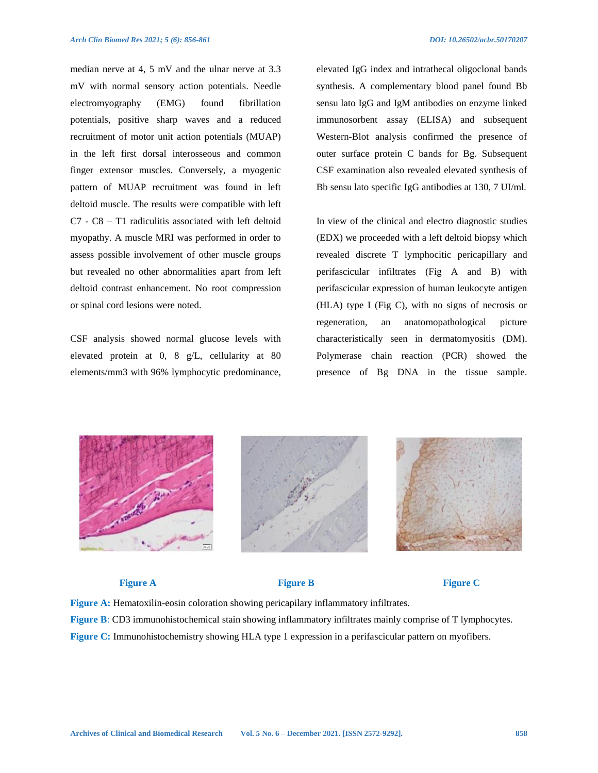median nerve at 4, 5 mV and the ulnar nerve at 3.3 mV with normal sensory action potentials. Needle electromyography (EMG) found fibrillation potentials, positive sharp waves and a reduced recruitment of motor unit action potentials (MUAP) in the left first dorsal interosseous and common finger extensor muscles. Conversely, a myogenic pattern of MUAP recruitment was found in left deltoid muscle. The results were compatible with left C7 - C8 – T1 radiculitis associated with left deltoid myopathy. A muscle MRI was performed in order to assess possible involvement of other muscle groups but revealed no other abnormalities apart from left deltoid contrast enhancement. No root compression or spinal cord lesions were noted.

CSF analysis showed normal glucose levels with elevated protein at 0, 8 g/L, cellularity at 80 elements/mm3 with 96% lymphocytic predominance, elevated IgG index and intrathecal oligoclonal bands synthesis. A complementary blood panel found Bb sensu lato IgG and IgM antibodies on enzyme linked immunosorbent assay (ELISA) and subsequent Western-Blot analysis confirmed the presence of outer surface protein C bands for Bg. Subsequent CSF examination also revealed elevated synthesis of Bb sensu lato specific IgG antibodies at 130, 7 UI/ml.

In view of the clinical and electro diagnostic studies (EDX) we proceeded with a left deltoid biopsy which revealed discrete T lymphocitic pericapillary and perifascicular infiltrates (Fig A and B) with perifascicular expression of human leukocyte antigen (HLA) type I (Fig C), with no signs of necrosis or regeneration, an anatomopathological picture characteristically seen in dermatomyositis (DM). Polymerase chain reaction (PCR) showed the presence of Bg DNA in the tissue sample.





#### **Figure A Figure B Figure C**

**Figure A:** Hematoxilin-eosin coloration showing pericapilary inflammatory infiltrates. **Figure B**: CD3 immunohistochemical stain showing inflammatory infiltrates mainly comprise of T lymphocytes. **Figure C:** Immunohistochemistry showing HLA type 1 expression in a perifascicular pattern on myofibers.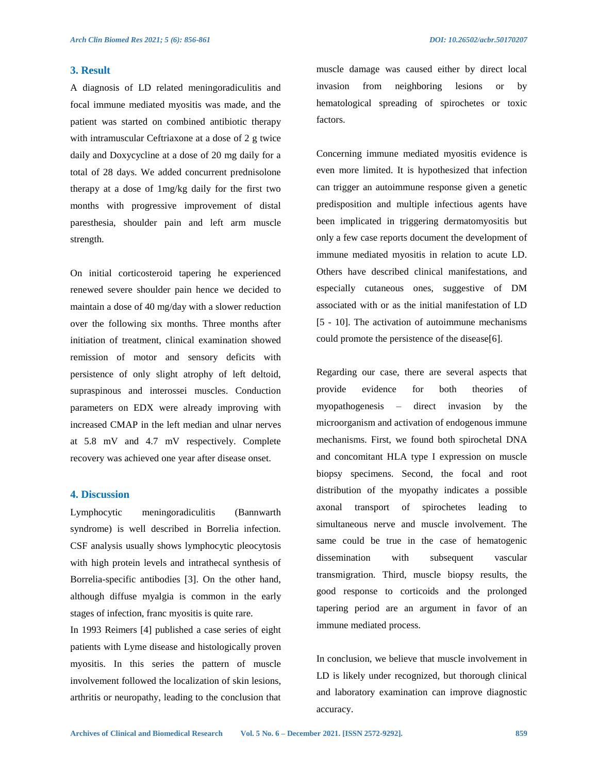#### **3. Result**

A diagnosis of LD related meningoradiculitis and focal immune mediated myositis was made, and the patient was started on combined antibiotic therapy with intramuscular Ceftriaxone at a dose of 2 g twice daily and Doxycycline at a dose of 20 mg daily for a total of 28 days. We added concurrent prednisolone therapy at a dose of 1mg/kg daily for the first two months with progressive improvement of distal paresthesia, shoulder pain and left arm muscle strength.

On initial corticosteroid tapering he experienced renewed severe shoulder pain hence we decided to maintain a dose of 40 mg/day with a slower reduction over the following six months. Three months after initiation of treatment, clinical examination showed remission of motor and sensory deficits with persistence of only slight atrophy of left deltoid, supraspinous and interossei muscles. Conduction parameters on EDX were already improving with increased CMAP in the left median and ulnar nerves at 5.8 mV and 4.7 mV respectively. Complete recovery was achieved one year after disease onset.

#### **4. Discussion**

Lymphocytic meningoradiculitis (Bannwarth syndrome) is well described in Borrelia infection. CSF analysis usually shows lymphocytic pleocytosis with high protein levels and intrathecal synthesis of Borrelia-specific antibodies [3]. On the other hand, although diffuse myalgia is common in the early stages of infection, franc myositis is quite rare.

In 1993 Reimers [4] published a case series of eight patients with Lyme disease and histologically proven myositis. In this series the pattern of muscle involvement followed the localization of skin lesions, arthritis or neuropathy, leading to the conclusion that muscle damage was caused either by direct local invasion from neighboring lesions or by hematological spreading of spirochetes or toxic factors.

Concerning immune mediated myositis evidence is even more limited. It is hypothesized that infection can trigger an autoimmune response given a genetic predisposition and multiple infectious agents have been implicated in triggering dermatomyositis but only a few case reports document the development of immune mediated myositis in relation to acute LD. Others have described clinical manifestations, and especially cutaneous ones, suggestive of DM associated with or as the initial manifestation of LD [5 - 10]. The activation of autoimmune mechanisms could promote the persistence of the disease[6].

Regarding our case, there are several aspects that provide evidence for both theories of myopathogenesis – direct invasion by the microorganism and activation of endogenous immune mechanisms. First, we found both spirochetal DNA and concomitant HLA type I expression on muscle biopsy specimens. Second, the focal and root distribution of the myopathy indicates a possible axonal transport of spirochetes leading to simultaneous nerve and muscle involvement. The same could be true in the case of hematogenic dissemination with subsequent vascular transmigration. Third, muscle biopsy results, the good response to corticoids and the prolonged tapering period are an argument in favor of an immune mediated process.

In conclusion, we believe that muscle involvement in LD is likely under recognized, but thorough clinical and laboratory examination can improve diagnostic accuracy.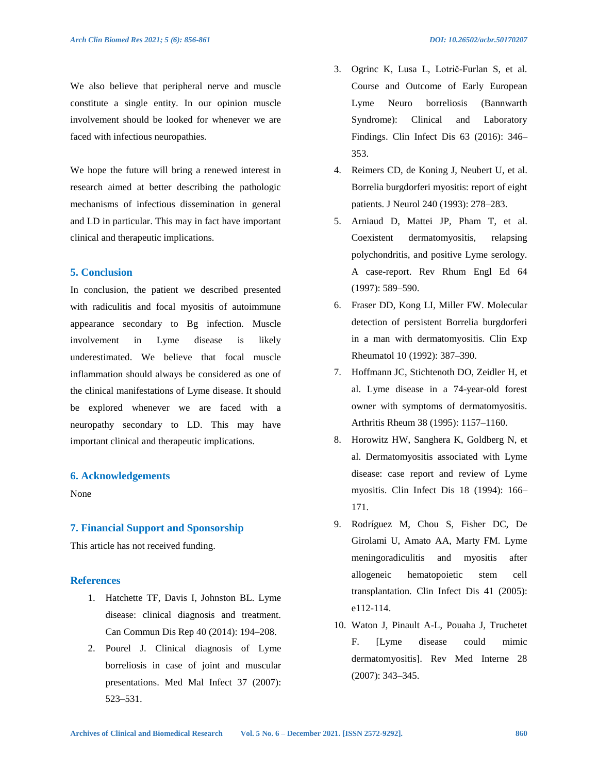We also believe that peripheral nerve and muscle constitute a single entity. In our opinion muscle involvement should be looked for whenever we are faced with infectious neuropathies.

We hope the future will bring a renewed interest in research aimed at better describing the pathologic mechanisms of infectious dissemination in general and LD in particular. This may in fact have important clinical and therapeutic implications.

#### **5. Conclusion**

In conclusion, the patient we described presented with radiculitis and focal myositis of autoimmune appearance secondary to Bg infection. Muscle involvement in Lyme disease is likely underestimated. We believe that focal muscle inflammation should always be considered as one of the clinical manifestations of Lyme disease. It should be explored whenever we are faced with a neuropathy secondary to LD. This may have important clinical and therapeutic implications.

#### **6. Acknowledgements**

None

#### **7. Financial Support and Sponsorship**

This article has not received funding.

#### **References**

- 1. Hatchette TF, Davis I, Johnston BL. Lyme disease: clinical diagnosis and treatment. Can Commun Dis Rep 40 (2014): 194–208.
- 2. Pourel J. Clinical diagnosis of Lyme borreliosis in case of joint and muscular presentations. Med Mal Infect 37 (2007): 523–531.
- 3. Ogrinc K, Lusa L, Lotrič-Furlan S, et al. Course and Outcome of Early European Lyme Neuro borreliosis (Bannwarth Syndrome): Clinical and Laboratory Findings. Clin Infect Dis 63 (2016): 346– 353.
- 4. Reimers CD, de Koning J, Neubert U, et al. Borrelia burgdorferi myositis: report of eight patients. J Neurol 240 (1993): 278–283.
- 5. Arniaud D, Mattei JP, Pham T, et al. Coexistent dermatomyositis, relapsing polychondritis, and positive Lyme serology. A case-report. Rev Rhum Engl Ed 64 (1997): 589–590.
- 6. Fraser DD, Kong LI, Miller FW. Molecular detection of persistent Borrelia burgdorferi in a man with dermatomyositis. Clin Exp Rheumatol 10 (1992): 387–390.
- 7. Hoffmann JC, Stichtenoth DO, Zeidler H, et al. Lyme disease in a 74-year-old forest owner with symptoms of dermatomyositis. Arthritis Rheum 38 (1995): 1157–1160.
- 8. Horowitz HW, Sanghera K, Goldberg N, et al. Dermatomyositis associated with Lyme disease: case report and review of Lyme myositis. Clin Infect Dis 18 (1994): 166– 171.
- 9. Rodríguez M, Chou S, Fisher DC, De Girolami U, Amato AA, Marty FM. Lyme meningoradiculitis and myositis after allogeneic hematopoietic stem cell transplantation. Clin Infect Dis 41 (2005): e112-114.
- 10. Waton J, Pinault A-L, Pouaha J, Truchetet F. [Lyme disease could mimic dermatomyositis]. Rev Med Interne 28 (2007): 343–345.